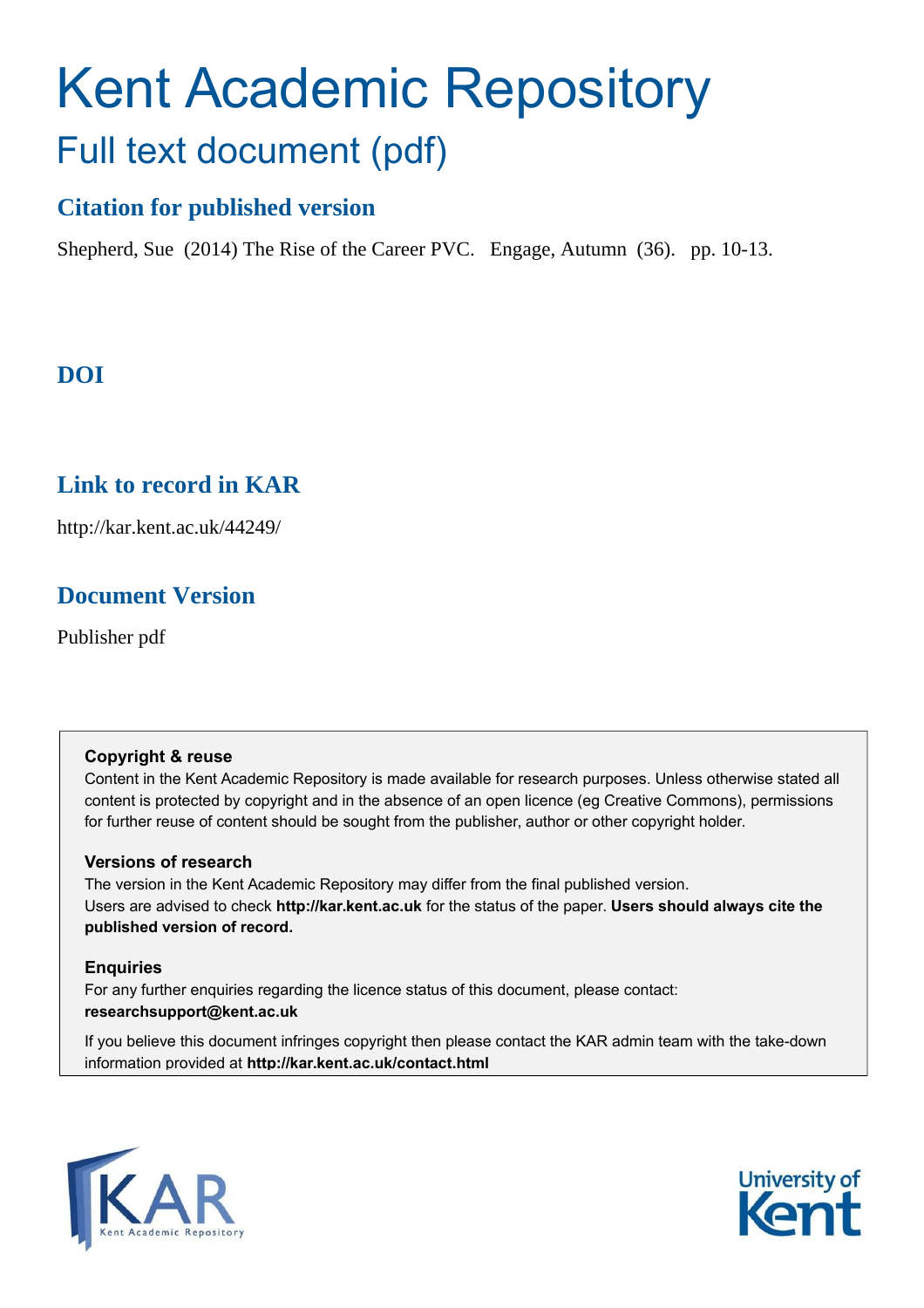# Kent Academic Repository Full text document (pdf)

# **Citation for published version**

Shepherd, Sue (2014) The Rise of the Career PVC. Engage, Autumn (36). pp. 10-13.

# **DOI**

# **Link to record in KAR**

http://kar.kent.ac.uk/44249/

# **Document Version**

Publisher pdf

## **Copyright & reuse**

Content in the Kent Academic Repository is made available for research purposes. Unless otherwise stated all content is protected by copyright and in the absence of an open licence (eg Creative Commons), permissions for further reuse of content should be sought from the publisher, author or other copyright holder.

## **Versions of research**

The version in the Kent Academic Repository may differ from the final published version. Users are advised to check **http://kar.kent.ac.uk** for the status of the paper. **Users should always cite the published version of record.**

## **Enquiries**

For any further enquiries regarding the licence status of this document, please contact: **researchsupport@kent.ac.uk**

If you believe this document infringes copyright then please contact the KAR admin team with the take-down information provided at **http://kar.kent.ac.uk/contact.html**



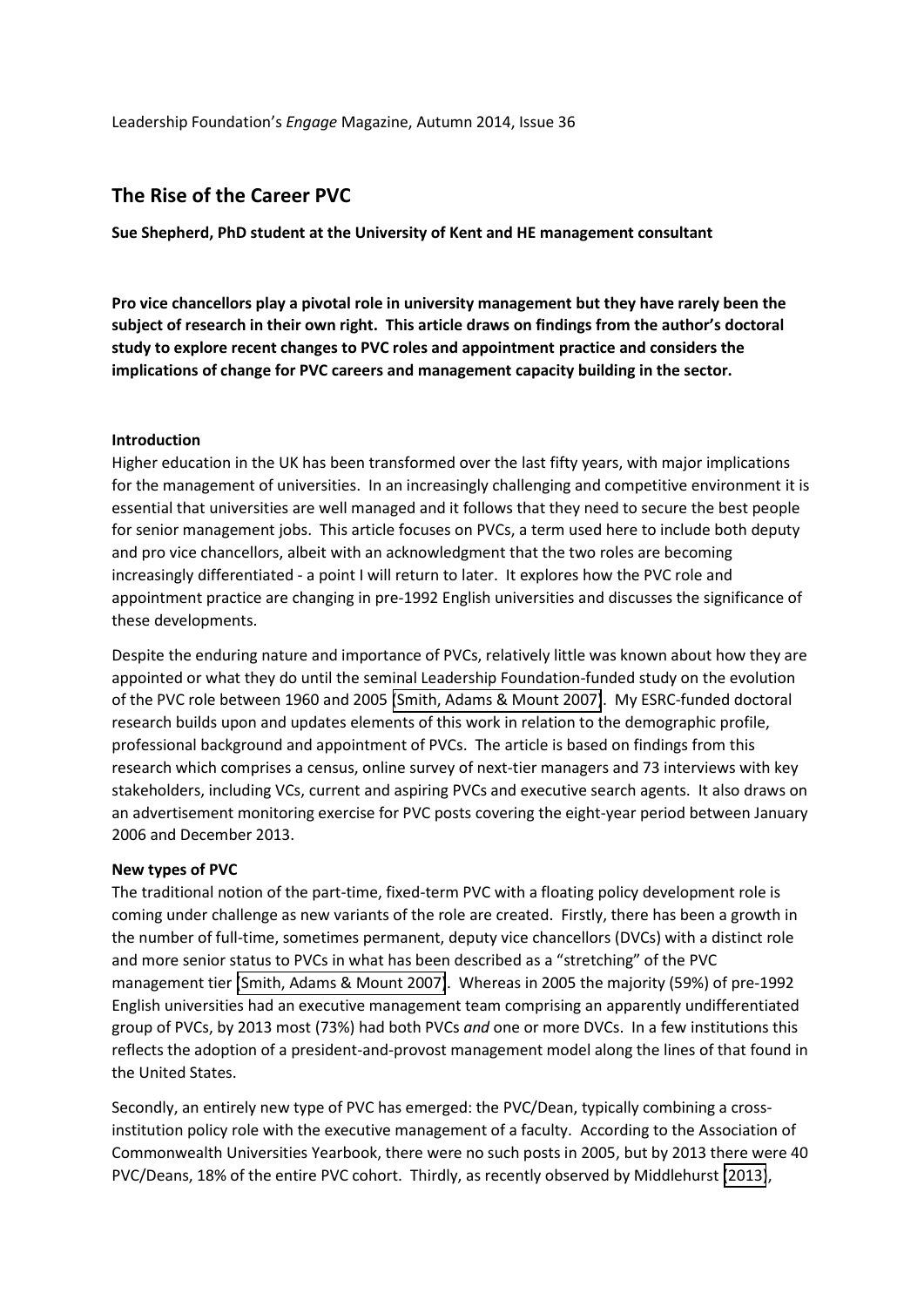Leadership Foundation's *Engage* Magazine, Autumn 2014, Issue 36

# **The Rise of the Career PVC**

**Sue Shepherd, PhD student at the University of Kent and HE management consultant** 

**Pro vice chancellors play a pivotal role in university management but they have rarely been the**  subject of research in their own right. This article draws on findings from the author's doctoral **study to explore recent changes to PVC roles and appointment practice and considers the implications of change for PVC careers and management capacity building in the sector.** 

#### **Introduction**

Higher education in the UK has been transformed over the last fifty years, with major implications for the management of universities. In an increasingly challenging and competitive environment it is essential that universities are well managed and it follows that they need to secure the best people for senior management jobs. This article focuses on PVCs, a term used here to include both deputy and pro vice chancellors, albeit with an acknowledgment that the two roles are becoming increasingly differentiated - a point I will return to later. It explores how the PVC role and appointment practice are changing in pre-1992 English universities and discusses the significance of these developments.

Despite the enduring nature and importance of PVCs, relatively little was known about how they are appointed or what they do until the seminal Leadership Foundation-funded study on the evolution of the PVC role between 1960 and 2005 [\(Smith, Adams & Mount 2007\)](#page-5-0). My ESRC-funded doctoral research builds upon and updates elements of this work in relation to the demographic profile, professional background and appointment of PVCs. The article is based on findings from this research which comprises a census, online survey of next-tier managers and 73 interviews with key stakeholders, including VCs, current and aspiring PVCs and executive search agents. It also draws on an advertisement monitoring exercise for PVC posts covering the eight-year period between January 2006 and December 2013.

#### **New types of PVC**

The traditional notion of the part-time, fixed-term PVC with a floating policy development role is coming under challenge as new variants of the role are created. Firstly, there has been a growth in the number of full-time, sometimes permanent, deputy vice chancellors (DVCs) with a distinct role and more senior status to PVCs in what has been described as a "stretching" of the PVC management tier [\(Smith, Adams & Mount 2007\)](#page-5-0). Whereas in 2005 the majority (59%) of pre-1992 English universities had an executive management team comprising an apparently undifferentiated group of PVCs, by 2013 most (73%) had both PVCs *and* one or more DVCs. In a few institutions this reflects the adoption of a president-and-provost management model along the lines of that found in the United States.

Secondly, an entirely new type of PVC has emerged: the PVC/Dean, typically combining a crossinstitution policy role with the executive management of a faculty. According to the Association of Commonwealth Universities Yearbook, there were no such posts in 2005, but by 2013 there were 40 PVC/Deans, 18% of the entire PVC cohort. Thirdly, as recently observed by Middlehurst [\(2013\)](#page-5-1),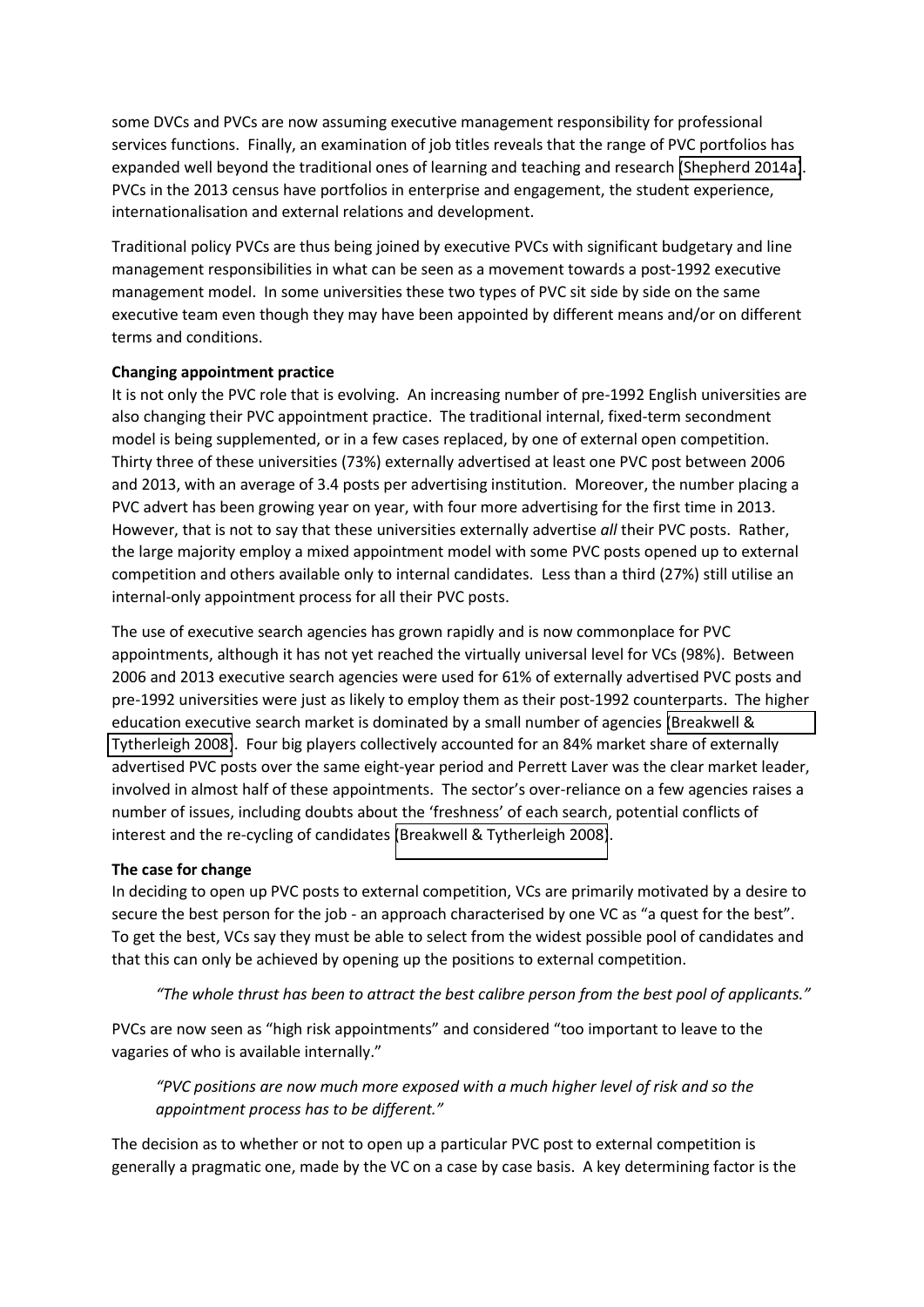some DVCs and PVCs are now assuming executive management responsibility for professional services functions. Finally, an examination of job titles reveals that the range of PVC portfolios has expanded well beyond the traditional ones of learning and teaching and research [\(Shepherd 2014a\)](#page-5-2). PVCs in the 2013 census have portfolios in enterprise and engagement, the student experience, internationalisation and external relations and development.

Traditional policy PVCs are thus being joined by executive PVCs with significant budgetary and line management responsibilities in what can be seen as a movement towards a post-1992 executive management model. In some universities these two types of PVC sit side by side on the same executive team even though they may have been appointed by different means and/or on different terms and conditions.

#### **Changing appointment practice**

It is not only the PVC role that is evolving. An increasing number of pre-1992 English universities are also changing their PVC appointment practice. The traditional internal, fixed-term secondment model is being supplemented, or in a few cases replaced, by one of external open competition. Thirty three of these universities (73%) externally advertised at least one PVC post between 2006 and 2013, with an average of 3.4 posts per advertising institution. Moreover, the number placing a PVC advert has been growing year on year, with four more advertising for the first time in 2013. However, that is not to say that these universities externally advertise *all* their PVC posts. Rather, the large majority employ a mixed appointment model with some PVC posts opened up to external competition and others available only to internal candidates. Less than a third (27%) still utilise an internal-only appointment process for all their PVC posts.

The use of executive search agencies has grown rapidly and is now commonplace for PVC appointments, although it has not yet reached the virtually universal level for VCs (98%). Between 2006 and 2013 executive search agencies were used for 61% of externally advertised PVC posts and pre-1992 universities were just as likely to employ them as their post-1992 counterparts. The higher education executive search market is dominated by a small number of agencies [\(Breakwell &](#page-5-3)  [Tytherleigh 2008\)](#page-5-3). Four big players collectively accounted for an 84% market share of externally advertised PVC posts over the same eight-year period and Perrett Laver was the clear market leader, involved in almost half of these appointments. The sector's over-reliance on a few agencies raises a number of issues, including doubts about the 'freshness' of each search, potential conflicts of interest and the re-cycling of candidates [\(Breakwell & Tytherleigh 2008\)](#page-5-3).

#### **The case for change**

In deciding to open up PVC posts to external competition, VCs are primarily motivated by a desire to secure the best person for the job - an approach characterised by one VC as "a quest for the best". To get the best, VCs say they must be able to select from the widest possible pool of candidates and that this can only be achieved by opening up the positions to external competition.

"The whole thrust has been to attract the best calibre person from the best pool of applicants."

PVCs are now seen as "high risk appointments" and considered "too important to leave to the vagaries of who is available internally."

*さPVC ヮラゲキデキラミゲ ;ヴW ミラ┘ マ┌Iエ マラヴW W┝ヮラゲWS ┘ith a much higher level of risk and so the*  appointment process has to be different."

The decision as to whether or not to open up a particular PVC post to external competition is generally a pragmatic one, made by the VC on a case by case basis. A key determining factor is the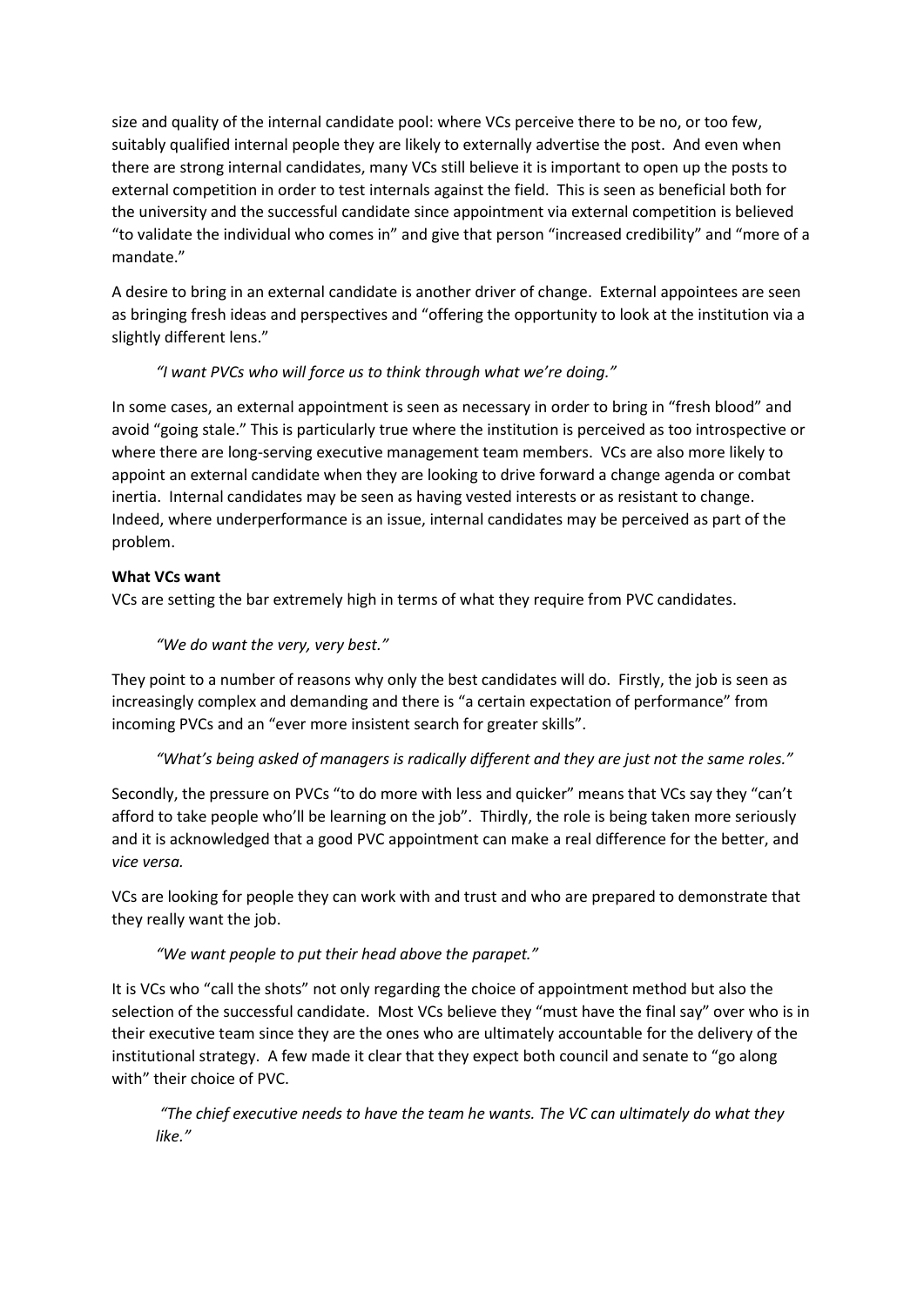size and quality of the internal candidate pool: where VCs perceive there to be no, or too few, suitably qualified internal people they are likely to externally advertise the post. And even when there are strong internal candidates, many VCs still believe it is important to open up the posts to external competition in order to test internals against the field. This is seen as beneficial both for the university and the successful candidate since appointment via external competition is believed "to validate the individual who comes in" and give that person "increased credibility" and "more of a mandate."

A desire to bring in an external candidate is another driver of change. External appointees are seen as bringing fresh ideas and perspectives and "offering the opportunity to look at the institution via a slightly different lens."

# "I want PVCs who will force us to think through what we're doing."

In some cases, an external appointment is seen as necessary in order to bring in "fresh blood" and avoid "going stale." This is particularly true where the institution is perceived as too introspective or where there are long-serving executive management team members. VCs are also more likely to appoint an external candidate when they are looking to drive forward a change agenda or combat inertia. Internal candidates may be seen as having vested interests or as resistant to change. Indeed, where underperformance is an issue, internal candidates may be perceived as part of the problem.

## **What VCs want**

VCs are setting the bar extremely high in terms of what they require from PVC candidates.

# "We do want the very, very best."

They point to a number of reasons why only the best candidates will do. Firstly, the job is seen as increasingly complex and demanding and there is "a certain expectation of performance" from incoming PVCs and an "ever more insistent search for greater skills".

## "What's being asked of managers is radically different and they are just not the same roles."

Secondly, the pressure on PVCs "to do more with less and quicker" means that VCs say they "can't afford to take people who'll be learning on the job". Thirdly, the role is being taken more seriously and it is acknowledged that a good PVC appointment can make a real difference for the better, and *vice versa.*

VCs are looking for people they can work with and trust and who are prepared to demonstrate that they really want the job.

## "We want people to put their head above the parapet."

It is VCs who "call the shots" not only regarding the choice of appointment method but also the selection of the successful candidate. Most VCs believe they "must have the final say" over who is in their executive team since they are the ones who are ultimately accountable for the delivery of the institutional strategy. A few made it clear that they expect both council and senate to "go along with" their choice of PVC.

*さThe chief executive needs to have the team he wants. The VC can ultimately do what they*  like."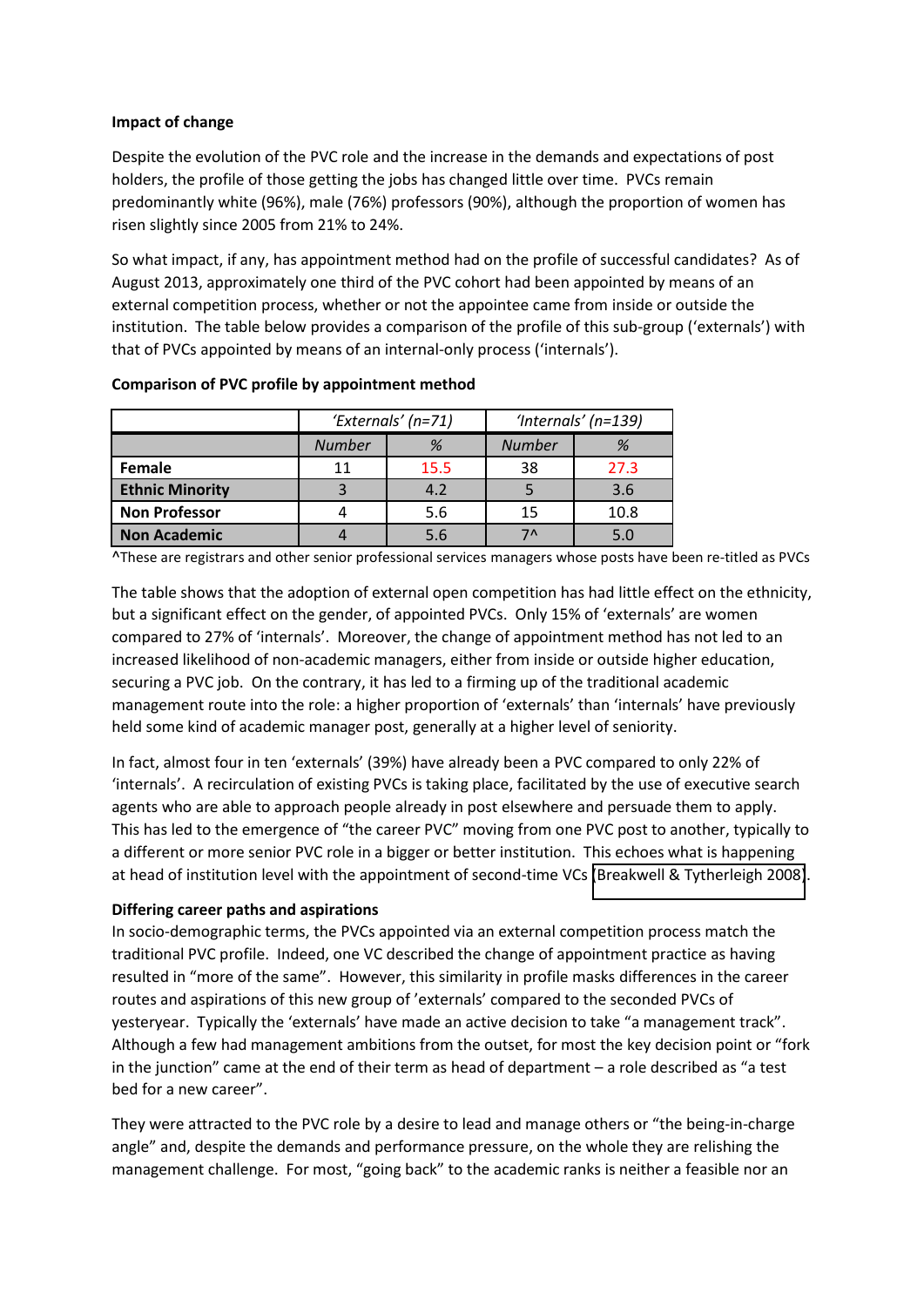#### **Impact of change**

Despite the evolution of the PVC role and the increase in the demands and expectations of post holders, the profile of those getting the jobs has changed little over time. PVCs remain predominantly white (96%), male (76%) professors (90%), although the proportion of women has risen slightly since 2005 from 21% to 24%.

So what impact, if any, has appointment method had on the profile of successful candidates? As of August 2013, approximately one third of the PVC cohort had been appointed by means of an external competition process, whether or not the appointee came from inside or outside the institution. The table below provides a comparison of the profile of this sub-group ('externals') with that of PVCs appointed by means of an internal-only process ('internals').

|                        | 'Externals' (n=71) |      | 'Internals' (n=139) |      |
|------------------------|--------------------|------|---------------------|------|
|                        | <b>Number</b>      | %    | <b>Number</b>       | %    |
| Female                 | 11                 | 15.5 | 38                  | 27.3 |
| <b>Ethnic Minority</b> |                    | 4.2  |                     | 3.6  |
| <b>Non Professor</b>   |                    | 5.6  | 15                  | 10.8 |
| <b>Non Academic</b>    |                    | 5.6  | 7٨                  | 5.0  |

#### **Comparison of PVC profile by appointment method**

^These are registrars and other senior professional services managers whose posts have been re-titled as PVCs

The table shows that the adoption of external open competition has had little effect on the ethnicity, but a significant effect on the gender, of appointed PVCs. Only 15% of 'externals' are women compared to 27% of 'internals'. Moreover, the change of appointment method has not led to an increased likelihood of non-academic managers, either from inside or outside higher education, securing a PVC job. On the contrary, it has led to a firming up of the traditional academic management route into the role: a higher proportion of 'externals' than 'internals' have previously held some kind of academic manager post, generally at a higher level of seniority.

In fact, almost four in ten 'externals' (39%) have already been a PVC compared to only 22% of 'internals'. A recirculation of existing PVCs is taking place, facilitated by the use of executive search agents who are able to approach people already in post elsewhere and persuade them to apply. This has led to the emergence of "the career PVC" moving from one PVC post to another, typically to a different or more senior PVC role in a bigger or better institution. This echoes what is happening at head of institution level with the appointment of second-time VCs [\(Breakwell & Tytherleigh 2008\)](#page-5-3).

#### **Differing career paths and aspirations**

In socio-demographic terms, the PVCs appointed via an external competition process match the traditional PVC profile. Indeed, one VC described the change of appointment practice as having resulted in "more of the same". However, this similarity in profile masks differences in the career routes and aspirations of this new group of 'externals' compared to the seconded PVCs of yesteryear. Typically the 'externals' have made an active decision to take "a management track". Although a few had management ambitions from the outset, for most the key decision point or "fork in the junction" came at the end of their term as head of department – a role described as "a test bed for a new career".

They were attracted to the PVC role by a desire to lead and manage others or "the being-in-charge angle" and, despite the demands and performance pressure, on the whole they are relishing the management challenge. For most, "going back" to the academic ranks is neither a feasible nor an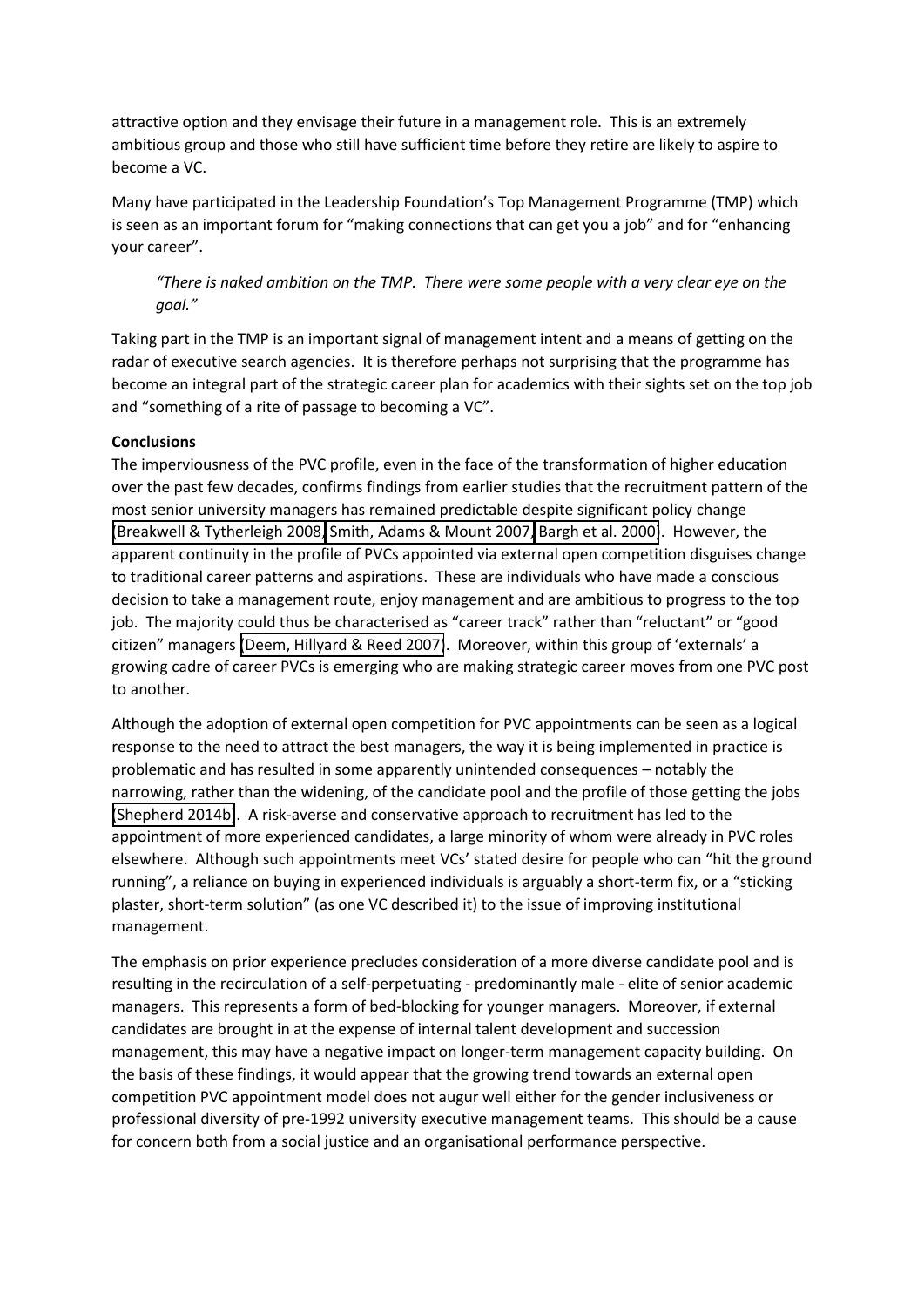attractive option and they envisage their future in a management role. This is an extremely ambitious group and those who still have sufficient time before they retire are likely to aspire to become a VC.

<span id="page-5-4"></span>Many have participated in the Leadership Foundation's Top Management Programme (TMP) which is seen as an important forum for "making connections that can get you a job" and for "enhancing your career".

# "There is naked ambition on the TMP. There were some people with a very clear eye on the goal."

<span id="page-5-3"></span>Taking part in the TMP is an important signal of management intent and a means of getting on the radar of executive search agencies. It is therefore perhaps not surprising that the programme has become an integral part of the strategic career plan for academics with their sights set on the top job and "something of a rite of passage to becoming a VC".

#### <span id="page-5-5"></span>**Conclusions**

<span id="page-5-2"></span><span id="page-5-1"></span>The imperviousness of the PVC profile, even in the face of the transformation of higher education over the past few decades, confirms findings from earlier studies that the recruitment pattern of the most senior university managers has remained predictable despite significant policy change [\(Breakwell & Tytherleigh 2008,](#page-5-3) [Smith, Adams & Mount 2007,](#page-5-0) [Bargh et al. 2000\)](#page-5-4). However, the apparent continuity in the profile of PVCs appointed via external open competition disguises change to traditional career patterns and aspirations. These are individuals who have made a conscious decision to take a management route, enjoy management and are ambitious to progress to the top job. The majority could thus be characterised as "career track" rather than "reluctant" or "good citizen" managers [\(Deem, Hillyard & Reed 2007\)](#page-5-5). Moreover, within this group of 'externals' a growing cadre of career PVCs is emerging who are making strategic career moves from one PVC post to another.

<span id="page-5-6"></span><span id="page-5-0"></span>Although the adoption of external open competition for PVC appointments can be seen as a logical response to the need to attract the best managers, the way it is being implemented in practice is problematic and has resulted in some apparently unintended consequences – notably the narrowing, rather than the widening, of the candidate pool and the profile of those getting the jobs [\(Shepherd 2014b\)](#page-5-6). A risk-averse and conservative approach to recruitment has led to the appointment of more experienced candidates, a large minority of whom were already in PVC roles elsewhere. Although such appointments meet VCs' stated desire for people who can "hit the ground running", a reliance on buying in experienced individuals is arguably a short-term fix, or a "sticking plaster, short-term solution" (as one VC described it) to the issue of improving institutional management.

The emphasis on prior experience precludes consideration of a more diverse candidate pool and is resulting in the recirculation of a self-perpetuating - predominantly male - elite of senior academic managers. This represents a form of bed-blocking for younger managers. Moreover, if external candidates are brought in at the expense of internal talent development and succession management, this may have a negative impact on longer-term management capacity building. On the basis of these findings, it would appear that the growing trend towards an external open competition PVC appointment model does not augur well either for the gender inclusiveness or professional diversity of pre-1992 university executive management teams. This should be a cause for concern both from a social justice and an organisational performance perspective.